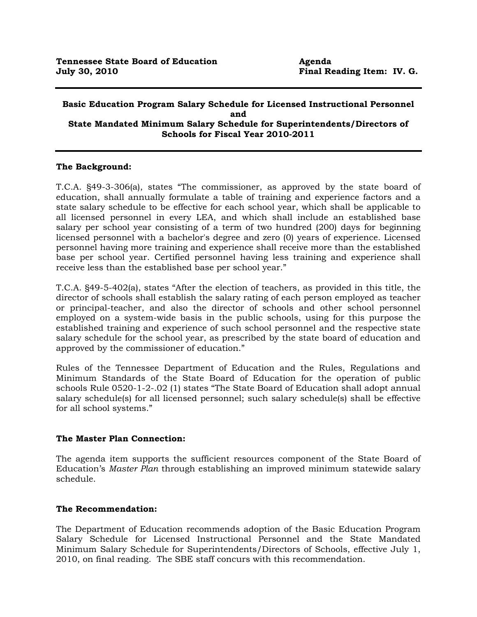## **Basic Education Program Salary Schedule for Licensed Instructional Personnel and State Mandated Minimum Salary Schedule for Superintendents/Directors of Schools for Fiscal Year 2010-2011**

# **The Background:**

T.C.A. §49-3-306(a), states "The commissioner, as approved by the state board of education, shall annually formulate a table of training and experience factors and a state salary schedule to be effective for each school year, which shall be applicable to all licensed personnel in every LEA, and which shall include an established base salary per school year consisting of a term of two hundred (200) days for beginning licensed personnel with a bachelor's degree and zero (0) years of experience. Licensed personnel having more training and experience shall receive more than the established base per school year. Certified personnel having less training and experience shall receive less than the established base per school year."

T.C.A. §49-5-402(a), states "After the election of teachers, as provided in this title, the director of schools shall establish the salary rating of each person employed as teacher or principal-teacher, and also the director of schools and other school personnel employed on a system-wide basis in the public schools, using for this purpose the established training and experience of such school personnel and the respective state salary schedule for the school year, as prescribed by the state board of education and approved by the commissioner of education."

Rules of the Tennessee Department of Education and the Rules, Regulations and Minimum Standards of the State Board of Education for the operation of public schools Rule 0520-1-2-.02 (1) states "The State Board of Education shall adopt annual salary schedule(s) for all licensed personnel; such salary schedule(s) shall be effective for all school systems."

## **The Master Plan Connection:**

The agenda item supports the sufficient resources component of the State Board of Education's *Master Plan* through establishing an improved minimum statewide salary schedule.

## **The Recommendation:**

The Department of Education recommends adoption of the Basic Education Program Salary Schedule for Licensed Instructional Personnel and the State Mandated Minimum Salary Schedule for Superintendents/Directors of Schools, effective July 1, 2010, on final reading. The SBE staff concurs with this recommendation.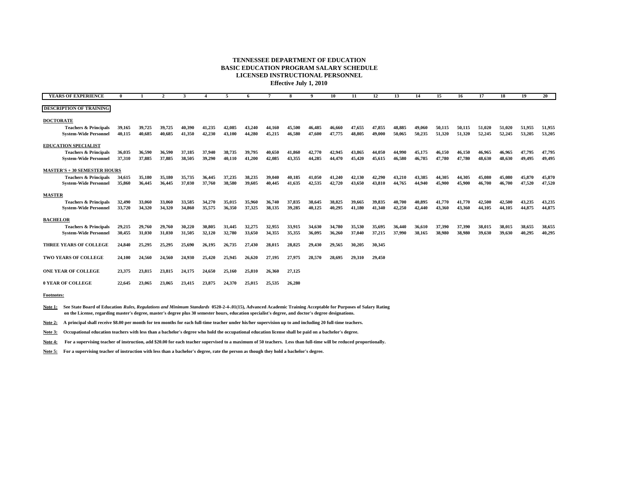## **TENNESSEE DEPARTMENT OF EDUCATIONBASIC EDUCATION PROGRAM SALARY SCHEDULE LICENSED INSTRUCTIONAL PERSONNEL**

**Effective July 1, 2010**

| <b>YEARS OF EXPERIENCE</b>          |        |        |        |        |        |        |        |        | 8      |        | 10     | 11     | 12     | 13     | 14     | 15     | -16    | 17     | 18     | 19     | 20 <sup>2</sup> |
|-------------------------------------|--------|--------|--------|--------|--------|--------|--------|--------|--------|--------|--------|--------|--------|--------|--------|--------|--------|--------|--------|--------|-----------------|
| <b>DESCRIPTION OF TRAINING</b>      |        |        |        |        |        |        |        |        |        |        |        |        |        |        |        |        |        |        |        |        |                 |
| <b>DOCTORATE</b>                    |        |        |        |        |        |        |        |        |        |        |        |        |        |        |        |        |        |        |        |        |                 |
| <b>Teachers &amp; Principals</b>    | 39,165 | 39,725 | 39,725 | 40.390 | 41,235 | 42,085 | 43,240 | 44.160 | 45,500 | 46.485 | 46,660 | 47.655 | 47,855 | 48.885 | 49,060 | 50,115 | 50.115 | 51,020 | 51,020 | 51,955 | 51,955          |
| <b>System-Wide Personnel</b>        | 40,115 | 40.685 | 40,685 | 41,350 | 42,230 | 43.100 | 44,280 | 45,215 | 46,580 | 47,600 | 47,775 | 48,805 | 49,000 | 50,065 | 50,235 | 51,320 | 51,320 | 52,245 | 52,245 | 53,205 | 53,205          |
| <b>EDUCATION SPECIALIST</b>         |        |        |        |        |        |        |        |        |        |        |        |        |        |        |        |        |        |        |        |        |                 |
| <b>Teachers &amp; Principals</b>    | 36,035 | 36.590 | 36,590 | 37.185 | 37,940 | 38,735 | 39,795 | 40.650 | 41,860 | 42,770 | 42,945 | 43.865 | 44.050 | 44.990 | 45,175 | 46,150 | 46.150 | 46.965 | 46.965 | 47,795 | 47,795          |
| <b>System-Wide Personnel</b>        | 37,310 | 37,885 | 37,885 | 38,505 | 39,290 | 40,110 | 41,200 | 42.085 | 43,355 | 44,285 | 44,470 | 45,420 | 45,615 | 46,580 | 46.785 | 47,780 | 47,780 | 48,630 | 48.630 | 49,495 | 49,495          |
| <b>MASTER'S + 30 SEMESTER HOURS</b> |        |        |        |        |        |        |        |        |        |        |        |        |        |        |        |        |        |        |        |        |                 |
| <b>Teachers &amp; Principals</b>    | 34,615 | 35,180 | 35,180 | 35,735 | 36,445 | 37,235 | 38,235 | 39,040 | 40,185 | 41,050 | 41,240 | 42,130 | 42,290 | 43,210 | 43.385 | 44,305 | 44.305 | 45,080 | 45.080 | 45,870 | 45,870          |
| <b>System-Wide Personnel</b>        | 35,860 | 36,445 | 36,445 | 37,030 | 37,760 | 38,580 | 39,605 | 40,445 | 41,635 | 42,535 | 42,720 | 43,650 | 43,810 | 44,765 | 44,940 | 45,900 | 45.900 | 46,700 | 46,700 | 47,520 | 47,520          |
| <b>MASTER</b>                       |        |        |        |        |        |        |        |        |        |        |        |        |        |        |        |        |        |        |        |        |                 |
| <b>Teachers &amp; Principals</b>    | 32,490 | 33,060 | 33,060 | 33,585 | 34,270 | 35,015 | 35,960 | 36,740 | 37,835 | 38,645 | 38,825 | 39,665 | 39,835 | 40,700 | 40.895 | 41,770 | 41,770 | 42,500 | 42,500 | 43,235 | 43,235          |
| <b>System-Wide Personnel</b>        | 33,720 | 34,320 | 34,320 | 34,860 | 35,575 | 36,350 | 37,325 | 38,135 | 39,285 | 40,125 | 40,295 | 41,180 | 41,340 | 42,250 | 42,440 | 43,360 | 43,360 | 44,105 | 44,105 | 44,875 | 44,875          |
| <b>BACHELOR</b>                     |        |        |        |        |        |        |        |        |        |        |        |        |        |        |        |        |        |        |        |        |                 |
| <b>Teachers &amp; Principals</b>    | 29,215 | 29,760 | 29,760 | 30,220 | 30.805 | 31.445 | 32,275 | 32,955 | 33,915 | 34,630 | 34,780 | 35,530 | 35.695 | 36.440 | 36,610 | 37,390 | 37,390 | 38,015 | 38.015 | 38,655 | 38,655          |
| <b>System-Wide Personnel</b>        | 30,455 | 31,030 | 31,030 | 31,505 | 32,120 | 32,780 | 33,650 | 34,355 | 35,355 | 36,095 | 36,260 | 37,040 | 37,215 | 37,990 | 38,165 | 38,980 | 38,980 | 39,630 | 39,630 | 40,295 | 40,295          |
|                                     |        |        |        |        |        |        |        |        |        |        |        |        |        |        |        |        |        |        |        |        |                 |
| THREE YEARS OF COLLEGE              | 24,840 | 25,295 | 25.295 | 25,690 | 26.195 | 26.735 | 27,430 | 28.015 | 28,825 | 29.430 | 29,565 | 30,205 | 30,345 |        |        |        |        |        |        |        |                 |
| TWO YEARS OF COLLEGE                | 24,100 | 24,560 | 24,560 | 24,930 | 25,420 | 25.945 | 26,620 | 27.195 | 27,975 | 28.570 | 28,695 | 29,310 | 29,450 |        |        |        |        |        |        |        |                 |
|                                     |        |        |        |        |        |        |        |        |        |        |        |        |        |        |        |        |        |        |        |        |                 |
| <b>ONE YEAR OF COLLEGE</b>          | 23,375 | 23,815 | 23,815 | 24,175 | 24.650 | 25,160 | 25,810 | 26,360 | 27,125 |        |        |        |        |        |        |        |        |        |        |        |                 |
| <b>0 YEAR OF COLLEGE</b>            | 22,645 | 23,065 | 23.065 | 23,415 | 23,875 | 24.370 | 25,015 | 25.535 | 26,280 |        |        |        |        |        |        |        |        |        |        |        |                 |

**Footnotes:**

**Note 1: See State Board of Education** *Rules, Regulations and Minimum Standards* **0520-2-4-.01(15), Advanced Academic Training Acceptable for Purposes of Salary Rating on the License, regarding master's degree, master's degree plus 30 semester hours, education specialist's degree, and doctor's degree designations.**

**Note 2: A principal shall receive \$8.00 per month for ten months for each full-time teacher under his/her supervision up to and including 20 full-time teachers.**

**Note 3: Occupational education teachers with less than a bachelor's degree who hold the occupational education license shall be paid on a bachelor's degree.**

**Note 4: For a supervising teacher of instruction, add \$20.00 for each teacher supervised to a maximum of 50 teachers. Less than full-time will be reduced proportionally.** 

**Note 5: For a supervising teacher of instruction with less than a bachelor's degree, rate the person as though they hold a bachelor's degree.**